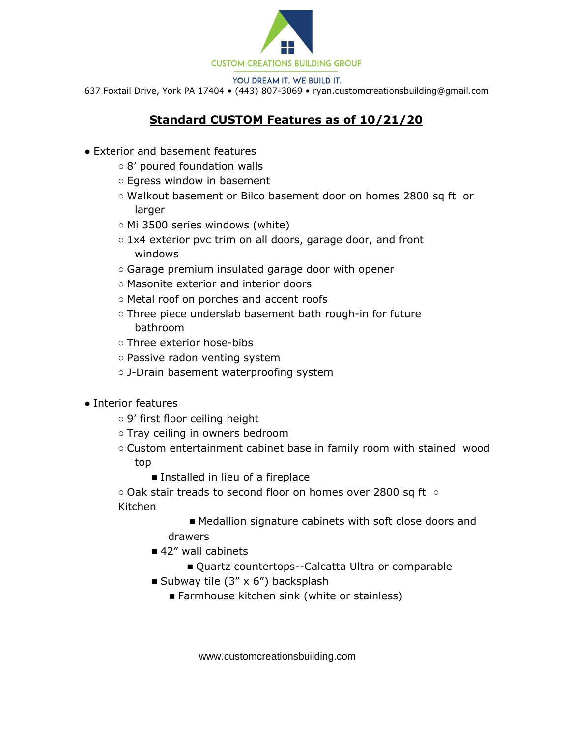

YOU DREAM IT. WE BUILD IT.

637 Foxtail Drive, York PA 17404 • (443) 807-3069 • ryan.customcreationsbuilding@gmail.com

## **Standard CUSTOM Features as of 10/21/20**

- Exterior and basement features
	- 8' poured foundation walls
	- Egress window in basement
	- Walkout basement or Bilco basement door on homes 2800 sq ft or larger
	- Mi 3500 series windows (white)
	- 1x4 exterior pvc trim on all doors, garage door, and front windows
	- Garage premium insulated garage door with opener
	- Masonite exterior and interior doors
	- Metal roof on porches and accent roofs
	- Three piece underslab basement bath rough-in for future bathroom
	- Three exterior hose-bibs
	- Passive radon venting system
	- J-Drain basement waterproofing system
- Interior features
	- 9' first floor ceiling height
	- Tray ceiling in owners bedroom
	- Custom entertainment cabinet base in family room with stained wood top
		- Installed in lieu of a fireplace

○ Oak stair treads to second floor on homes over 2800 sq ft ○ Kitchen

> ■ Medallion signature cabinets with soft close doors and drawers

- 42" wall cabinets
	- Quartz countertops--Calcatta Ultra or comparable
- Subway tile  $(3'' \times 6'')$  backsplash
	- Farmhouse kitchen sink (white or stainless)

www.customcreationsbuilding.com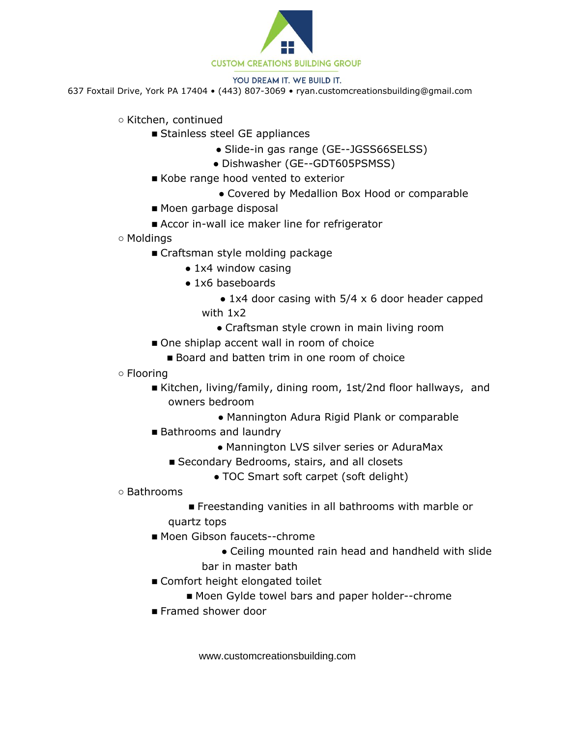

## YOU DREAM IT. WE BUILD IT.

637 Foxtail Drive, York PA 17404 • (443) 807-3069 • ryan.customcreationsbuilding@gmail.com

- Kitchen, continued
	- Stainless steel GE appliances
		- Slide-in gas range (GE--JGSS66SELSS)
		- Dishwasher (GE--GDT605PSMSS)
		- Kobe range hood vented to exterior
			- Covered by Medallion Box Hood or comparable
		- Moen garbage disposal
		- Accor in-wall ice maker line for refrigerator
- Moldings
	- Craftsman style molding package
		- 1x4 window casing
		- 1x6 baseboards
			- $\bullet$  1x4 door casing with 5/4 x 6 door header capped with 1x2
				- Craftsman style crown in main living room
	- One shiplap accent wall in room of choice
		- Board and batten trim in one room of choice
- Flooring
	- Kitchen, living/family, dining room, 1st/2nd floor hallways, and owners bedroom
		- Mannington Adura Rigid Plank or comparable
	- Bathrooms and laundry
		- Mannington LVS silver series or AduraMax
		- Secondary Bedrooms, stairs, and all closets
			- TOC Smart soft carpet (soft delight)
- Bathrooms
	- Freestanding vanities in all bathrooms with marble or
	- quartz tops
	- Moen Gibson faucets--chrome
		- Ceiling mounted rain head and handheld with slide
		- bar in master bath
	- Comfort height elongated toilet
		- Moen Gylde towel bars and paper holder--chrome
	- Framed shower door

www.customcreationsbuilding.com